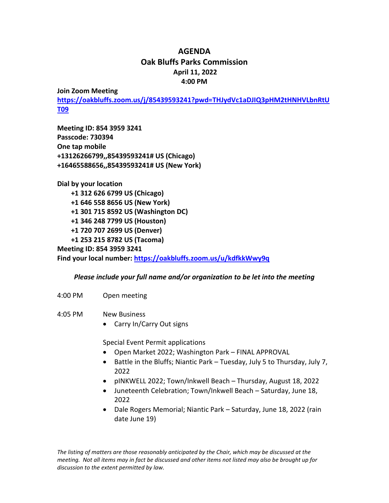## **AGENDA Oak Bluffs Parks Commission April 11, 2022 4:00 PM**

**Join Zoom Meeting**

**[https://oakbluffs.zoom.us/j/85439593241?pwd=THJydVc1aDJIQ3pHM2tHNHVLbnRtU](https://oakbluffs.zoom.us/j/85439593241?pwd=THJydVc1aDJIQ3pHM2tHNHVLbnRtUT09) [T09](https://oakbluffs.zoom.us/j/85439593241?pwd=THJydVc1aDJIQ3pHM2tHNHVLbnRtUT09)**

**Meeting ID: 854 3959 3241 Passcode: 730394 One tap mobile +13126266799,,85439593241# US (Chicago) +16465588656,,85439593241# US (New York)**

**Dial by your location +1 312 626 6799 US (Chicago) +1 646 558 8656 US (New York) +1 301 715 8592 US (Washington DC) +1 346 248 7799 US (Houston) +1 720 707 2699 US (Denver) +1 253 215 8782 US (Tacoma) Meeting ID: 854 3959 3241**

**Find your local number:<https://oakbluffs.zoom.us/u/kdfkkWwy9q>**

## *Please include your full name and/or organization to be let into the meeting*

- 4:00 PM Open meeting
- 4:05 PM New Business
	- Carry In/Carry Out signs

Special Event Permit applications

- Open Market 2022; Washington Park FINAL APPROVAL
- Battle in the Bluffs; Niantic Park Tuesday, July 5 to Thursday, July 7, 2022
- pINKWELL 2022; Town/Inkwell Beach Thursday, August 18, 2022
- Juneteenth Celebration; Town/Inkwell Beach Saturday, June 18, 2022
- Dale Rogers Memorial; Niantic Park Saturday, June 18, 2022 (rain date June 19)

*The listing of matters are those reasonably anticipated by the Chair, which may be discussed at the meeting. Not all items may in fact be discussed and other items not listed may also be brought up for discussion to the extent permitted by law.*